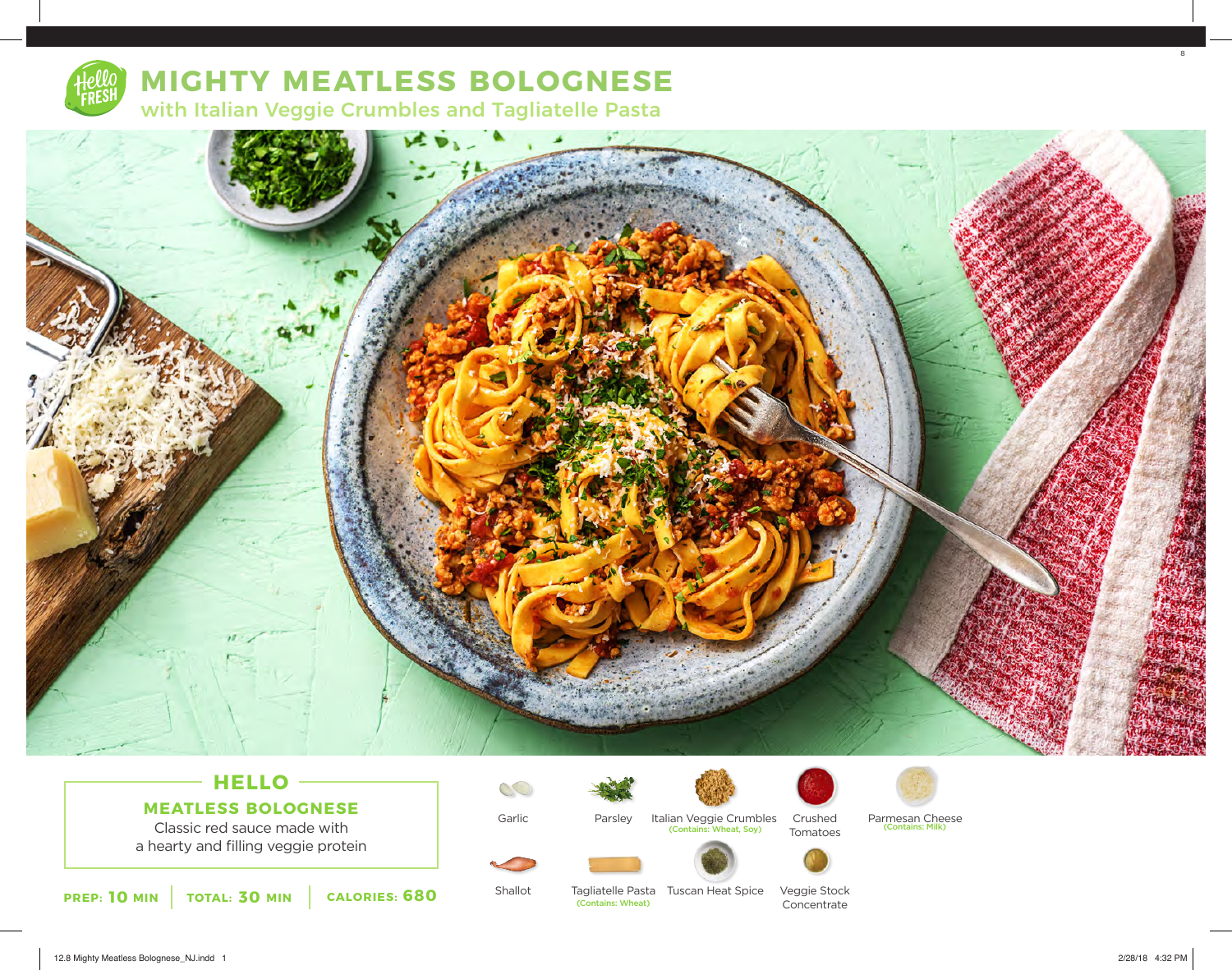

# **MIGHTY MEATLESS BOLOGNESE**

with Italian Veggie Crumbles and Tagliatelle Pasta



## **HELLO MEATLESS BOLOGNESE**

Classic red sauce made with a hearty and filling veggie protein



Shallot

Garlic

 $\mathbb{C}$ 

Parsley

Tagliatelle Pasta Tuscan Heat Spice (Contains: Wheat)

Italian Veggie Crumbles

(Contains: Wheat, Soy)

Crushed

Tomatoes

Veggie Stock Concentrate



Parmesan Cheese<br>(Contains: Milk)

8